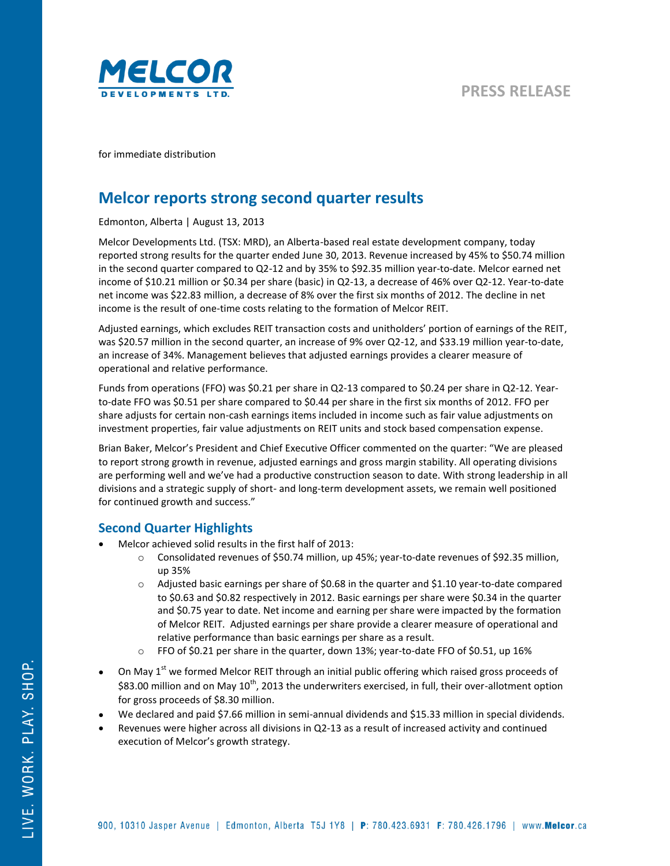



for immediate distribution

# **Melcor reports strong second quarter results**

## Edmonton, Alberta | August 13, 2013

Melcor Developments Ltd. (TSX: MRD), an Alberta-based real estate development company, today reported strong results for the quarter ended June 30, 2013. Revenue increased by 45% to \$50.74 million in the second quarter compared to Q2-12 and by 35% to \$92.35 million year-to-date. Melcor earned net income of \$10.21 million or \$0.34 per share (basic) in Q2-13, a decrease of 46% over Q2-12. Year-to-date net income was \$22.83 million, a decrease of 8% over the first six months of 2012. The decline in net income is the result of one-time costs relating to the formation of Melcor REIT.

Adjusted earnings, which excludes REIT transaction costs and unitholders' portion of earnings of the REIT, was \$20.57 million in the second quarter, an increase of 9% over Q2-12, and \$33.19 million year-to-date, an increase of 34%. Management believes that adjusted earnings provides a clearer measure of operational and relative performance.

Funds from operations (FFO) was \$0.21 per share in Q2-13 compared to \$0.24 per share in Q2-12. Yearto-date FFO was \$0.51 per share compared to \$0.44 per share in the first six months of 2012. FFO per share adjusts for certain non-cash earnings items included in income such as fair value adjustments on investment properties, fair value adjustments on REIT units and stock based compensation expense.

Brian Baker, Melcor's President and Chief Executive Officer commented on the quarter: "We are pleased to report strong growth in revenue, adjusted earnings and gross margin stability. All operating divisions are performing well and we've had a productive construction season to date. With strong leadership in all divisions and a strategic supply of short- and long-term development assets, we remain well positioned for continued growth and success."

# **Second Quarter Highlights**

- Melcor achieved solid results in the first half of 2013:
	- o Consolidated revenues of \$50.74 million, up 45%; year-to-date revenues of \$92.35 million, up 35%
	- $\circ$  Adjusted basic earnings per share of \$0.68 in the quarter and \$1.10 year-to-date compared to \$0.63 and \$0.82 respectively in 2012. Basic earnings per share were \$0.34 in the quarter and \$0.75 year to date. Net income and earning per share were impacted by the formation of Melcor REIT. Adjusted earnings per share provide a clearer measure of operational and relative performance than basic earnings per share as a result.
	- $\circ$  FFO of \$0.21 per share in the quarter, down 13%; year-to-date FFO of \$0.51, up 16%
- On May  $1<sup>st</sup>$  we formed Melcor REIT through an initial public offering which raised gross proceeds of \$83.00 million and on May 10<sup>th</sup>, 2013 the underwriters exercised, in full, their over-allotment option for gross proceeds of \$8.30 million.
- We declared and paid \$7.66 million in semi-annual dividends and \$15.33 million in special dividends.
- Revenues were higher across all divisions in Q2-13 as a result of increased activity and continued execution of Melcor's growth strategy.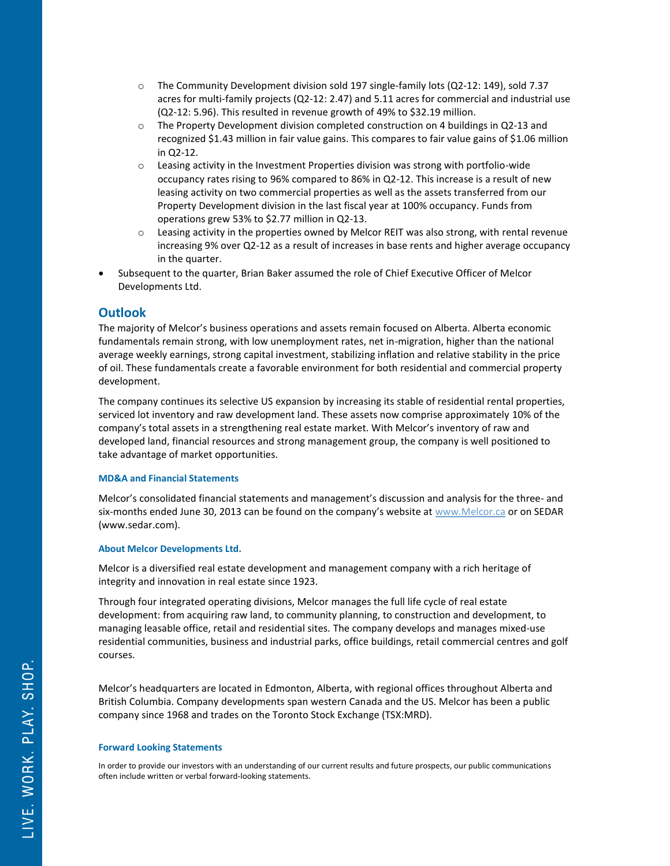- o The Community Development division sold 197 single-family lots (Q2-12: 149), sold 7.37 acres for multi-family projects (Q2-12: 2.47) and 5.11 acres for commercial and industrial use (Q2-12: 5.96). This resulted in revenue growth of 49% to \$32.19 million.
- o The Property Development division completed construction on 4 buildings in Q2-13 and recognized \$1.43 million in fair value gains. This compares to fair value gains of \$1.06 million in Q2-12.
- $\circ$  Leasing activity in the Investment Properties division was strong with portfolio-wide occupancy rates rising to 96% compared to 86% in Q2-12. This increase is a result of new leasing activity on two commercial properties as well as the assets transferred from our Property Development division in the last fiscal year at 100% occupancy. Funds from operations grew 53% to \$2.77 million in Q2-13.
- $\circ$  Leasing activity in the properties owned by Melcor REIT was also strong, with rental revenue increasing 9% over Q2-12 as a result of increases in base rents and higher average occupancy in the quarter.
- Subsequent to the quarter, Brian Baker assumed the role of Chief Executive Officer of Melcor Developments Ltd.

# **Outlook**

The majority of Melcor's business operations and assets remain focused on Alberta. Alberta economic fundamentals remain strong, with low unemployment rates, net in-migration, higher than the national average weekly earnings, strong capital investment, stabilizing inflation and relative stability in the price of oil. These fundamentals create a favorable environment for both residential and commercial property development.

The company continues its selective US expansion by increasing its stable of residential rental properties, serviced lot inventory and raw development land. These assets now comprise approximately 10% of the company's total assets in a strengthening real estate market. With Melcor's inventory of raw and developed land, financial resources and strong management group, the company is well positioned to take advantage of market opportunities.

#### **MD&A and Financial Statements**

Melcor's consolidated financial statements and management's discussion and analysis for the three- and six-months ended June 30, 2013 can be found on the company's website at [www.Melcor.ca](http://www.melcorreit.ca/) or on SEDAR (www.sedar.com).

### **About Melcor Developments Ltd.**

Melcor is a diversified real estate development and management company with a rich heritage of integrity and innovation in real estate since 1923.

Through four integrated operating divisions, Melcor manages the full life cycle of real estate development: from acquiring raw land, to community planning, to construction and development, to managing leasable office, retail and residential sites. The company develops and manages mixed-use residential communities, business and industrial parks, office buildings, retail commercial centres and golf courses.

Melcor's headquarters are located in Edmonton, Alberta, with regional offices throughout Alberta and British Columbia. Company developments span western Canada and the US. Melcor has been a public company since 1968 and trades on the Toronto Stock Exchange (TSX:MRD).

#### **Forward Looking Statements**

In order to provide our investors with an understanding of our current results and future prospects, our public communications often include written or verbal forward-looking statements.